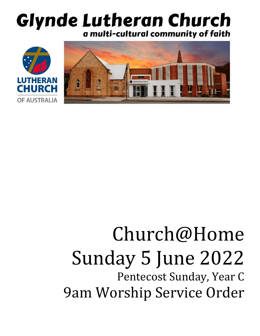## **Glynde Lutheran Church** a multi-cultural community of faith





# Church@Home Sunday 5 June 2022

Pentecost Sunday, Year C 9am Worship Service Order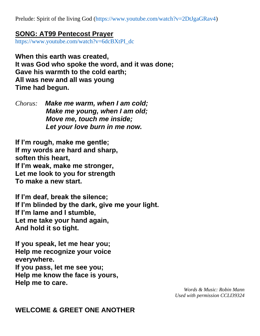Prelude: Spirit of the living God [\(https://www.youtube.com/watch?v=2DtJgaGRav4\)](https://www.youtube.com/watch?v=2DtJgaGRav4)

### **SONG: AT99 Pentecost Prayer**

[https://www.youtube.com/watch?v=6dcBXtPI\\_dc](https://www.youtube.com/watch?v=6dcBXtPI_dc)

**When this earth was created, It was God who spoke the word, and it was done; Gave his warmth to the cold earth; All was new and all was young Time had begun.**

*Chorus: Make me warm, when I am cold; Make me young, when I am old; Move me, touch me inside; Let your love burn in me now.*

**If I'm rough, make me gentle; If my words are hard and sharp, soften this heart, If I'm weak, make me stronger, Let me look to you for strength To make a new start.**

**If I'm deaf, break the silence; If I'm blinded by the dark, give me your light. If I'm lame and I stumble, Let me take your hand again, And hold it so tight.**

**If you speak, let me hear you; Help me recognize your voice everywhere. If you pass, let me see you; Help me know the face is yours, Help me to care.**

*Words & Music: Robin Mann Used with permission CCLI39324*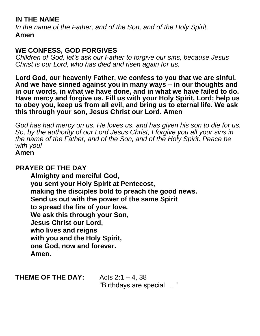### **IN THE NAME**

*In the name of the Father, and of the Son, and of the Holy Spirit.* **Amen**

### **WE CONFESS, GOD FORGIVES**

*Children of God, let's ask our Father to forgive our sins, because Jesus Christ is our Lord, who has died and risen again for us.*

**Lord God, our heavenly Father, we confess to you that we are sinful. And we have sinned against you in many ways – in our thoughts and in our words, in what we have done, and in what we have failed to do. Have mercy and forgive us. Fill us with your Holy Spirit, Lord; help us to obey you, keep us from all evil, and bring us to eternal life. We ask this through your son, Jesus Christ our Lord. Amen** 

*God has had mercy on us. He loves us, and has given his son to die for us. So, by the authority of our Lord Jesus Christ, I forgive you all your sins in the name of the Father, and of the Son, and of the Holy Spirit. Peace be with you!*

### **Amen**

### **PRAYER OF THE DAY**

**Almighty and merciful God, you sent your Holy Spirit at Pentecost, making the disciples bold to preach the good news. Send us out with the power of the same Spirit to spread the fire of your love. We ask this through your Son, Jesus Christ our Lord, who lives and reigns with you and the Holy Spirit, one God, now and forever. Amen.**

**THEME OF THE DAY:** Acts 2:1 – 4, 38

"Birthdays are special … "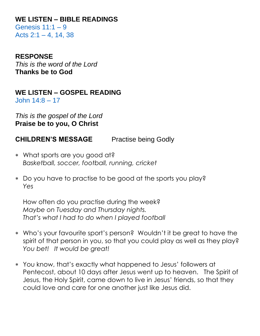### **WE LISTEN – BIBLE READINGS**

[Genesis 11:1 –](https://www.biblegateway.com/passage/?search=Genesis%2011%3A1-9&version=GNT) 9 Acts  $2:1 - 4, 14, 38$ 

### **RESPONSE**

*This is the word of the Lord* **Thanks be to God**

### **WE LISTEN – GOSPEL READING** [John 14:8 –](https://www.biblegateway.com/passage/?search=John+14%3A8+%E2%80%93+17&version=GNT) 17

*This is the gospel of the Lord* **Praise be to you, O Christ**

### **CHILDREN'S MESSAGE** Practise being Godly

- What sports are you good at? *Basketball, soccer, football, running, cricket*
- Do you have to practise to be good at the sports you play? *Yes*

How often do you practise during the week? *Maybe on Tuesday and Thursday nights. That's what I had to do when I played football*

- Who's your favourite sport's person? Wouldn't it be great to have the spirit of that person in you, so that you could play as well as they play? *You bet! It would be great!*
- You know, that's exactly what happened to Jesus' followers at Pentecost, about 10 days after Jesus went up to heaven. The Spirit of Jesus, the Holy Spirit, came down to live in Jesus' friends, so that they could love and care for one another just like Jesus did.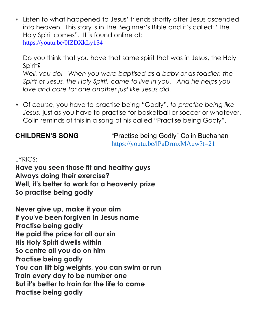Listen to what happened to Jesus' friends shortly after Jesus ascended into heaven. This story is in The Beginner's Bible and it's called: "The Holy Spirit comes". It is found online at: <https://youtu.be/0IZDXkLy154>

Do you think that you have that same spirit that was in Jesus, the Holy Spirit? Well, you do! When you were baptised as a baby or as toddler, the *Spirit of Jesus, the Holy Spirit, came to live in you. And he helps you love and care for one another just like Jesus did.*

 Of course, you have to practise being "Godly", *to practise being like Jesus,* just as you have to practise for basketball or soccer or whatever. Colin reminds of this in a song of his called "Practise being Godly".

**CHILDREN'S SONG** "Practise being Godly" Colin Buchanan <https://youtu.be/lPaDrmxMAuw?t=21>

LYRICS:

**Have you seen those fit and healthy guys Always doing their exercise? Well, it's better to work for a heavenly prize So practise being godly**

**Never give up, make it your aim If you've been forgiven in Jesus name Practise being godly He paid the price for all our sin His Holy Spirit dwells within So centre all you do on him Practise being godly You can lift big weights, you can swim or run Train every day to be number one But it's better to train for the life to come Practise being godly**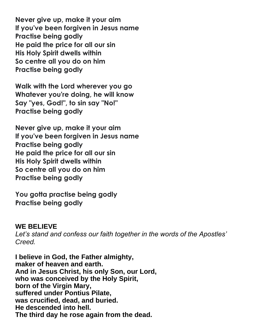**Never give up, make it your aim If you've been forgiven in Jesus name Practise being godly He paid the price for all our sin His Holy Spirit dwells within So centre all you do on him Practise being godly**

**Walk with the Lord wherever you go Whatever you're doing, he will know Say "yes, God!", to sin say "No!" Practise being godly**

**Never give up, make it your aim If you've been forgiven in Jesus name Practise being godly He paid the price for all our sin His Holy Spirit dwells within So centre all you do on him Practise being godly**

**You gotta practise being godly Practise being godly**

**WE BELIEVE** *Let's stand and confess our faith together in the words of the Apostles' Creed.*

**I believe in God, the Father almighty, maker of heaven and earth. And in Jesus Christ, his only Son, our Lord, who was conceived by the Holy Spirit, born of the Virgin Mary, suffered under Pontius Pilate, was crucified, dead, and buried. He descended into hell. The third day he rose again from the dead.**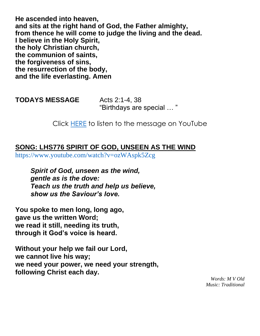**He ascended into heaven, and sits at the right hand of God, the Father almighty, from thence he will come to judge the living and the dead. I believe in the Holy Spirit, the holy Christian church, the communion of saints, the forgiveness of sins, the resurrection of the body, and the life everlasting. Amen**

**TODAYS MESSAGE** Acts 2:1-4, 38

"Birthdays are special … "

Click [HERE](https://youtu.be/_9hQaQKEP_4) to listen to the message on YouTube

### **SONG: LHS776 SPIRIT OF GOD, UNSEEN AS THE WIND**

<https://www.youtube.com/watch?v=ozWAspk5Zcg>

*Spirit of God, unseen as the wind, gentle as is the dove: Teach us the truth and help us believe, show us the Saviour's love.*

**You spoke to men long, long ago, gave us the written Word; we read it still, needing its truth, through it God's voice is heard.**

**Without your help we fail our Lord, we cannot live his way; we need your power, we need your strength, following Christ each day.**

> *Words: M V Old Music: Traditional*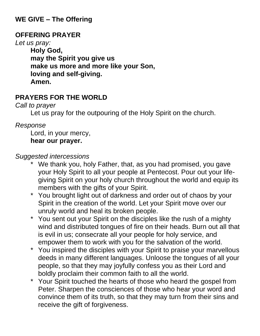### **WE GIVE – The Offering**

### **OFFERING PRAYER**

*Let us pray:* **Holy God, may the Spirit you give us make us more and more like your Son, loving and self-giving. Amen.**

### **PRAYERS FOR THE WORLD**

*Call to prayer*

Let us pray for the outpouring of the Holy Spirit on the church.

*Response*

Lord, in your mercy, **hear our prayer.**

*Suggested intercessions*

- We thank you, holy Father, that, as you had promised, you gave your Holy Spirit to all your people at Pentecost. Pour out your lifegiving Spirit on your holy church throughout the world and equip its members with the gifts of your Spirit.
- \* You brought light out of darkness and order out of chaos by your Spirit in the creation of the world. Let your Spirit move over our unruly world and heal its broken people.
- \* You sent out your Spirit on the disciples like the rush of a mighty wind and distributed tongues of fire on their heads. Burn out all that is evil in us; consecrate all your people for holy service, and empower them to work with you for the salvation of the world.
- \* You inspired the disciples with your Spirit to praise your marvellous deeds in many different languages. Unloose the tongues of all your people, so that they may joyfully confess you as their Lord and boldly proclaim their common faith to all the world.
- \* Your Spirit touched the hearts of those who heard the gospel from Peter. Sharpen the consciences of those who hear your word and convince them of its truth, so that they may turn from their sins and receive the gift of forgiveness.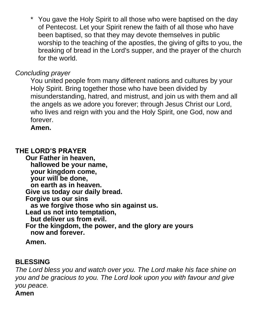\* You gave the Holy Spirit to all those who were baptised on the day of Pentecost. Let your Spirit renew the faith of all those who have been baptised, so that they may devote themselves in public worship to the teaching of the apostles, the giving of gifts to you, the breaking of bread in the Lord's supper, and the prayer of the church for the world.

### *Concluding prayer*

You united people from many different nations and cultures by your Holy Spirit. Bring together those who have been divided by misunderstanding, hatred, and mistrust, and join us with them and all the angels as we adore you forever; through Jesus Christ our Lord, who lives and reign with you and the Holy Spirit, one God, now and forever.

**Amen.**

### **THE LORD'S PRAYER**

**Our Father in heaven, hallowed be your name, your kingdom come, your will be done, on earth as in heaven. Give us today our daily bread. Forgive us our sins as we forgive those who sin against us. Lead us not into temptation, but deliver us from evil. For the kingdom, the power, and the glory are yours now and forever.**

### **Amen.**

### **BLESSING**

*The Lord bless you and watch over you. The Lord make his face shine on you and be gracious to you. The Lord look upon you with favour and give you peace.*

**Amen**